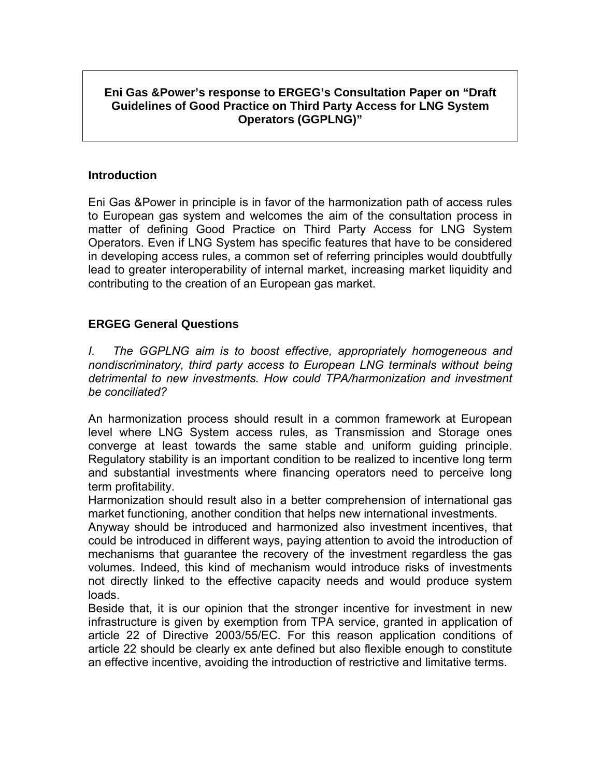## **Eni Gas &Power's response to ERGEG's Consultation Paper on "Draft Guidelines of Good Practice on Third Party Access for LNG System Operators (GGPLNG)"**

## **Introduction**

Eni Gas &Power in principle is in favor of the harmonization path of access rules to European gas system and welcomes the aim of the consultation process in matter of defining Good Practice on Third Party Access for LNG System Operators. Even if LNG System has specific features that have to be considered in developing access rules, a common set of referring principles would doubtfully lead to greater interoperability of internal market, increasing market liquidity and contributing to the creation of an European gas market.

## **ERGEG General Questions**

*I. The GGPLNG aim is to boost effective, appropriately homogeneous and nondiscriminatory, third party access to European LNG terminals without being detrimental to new investments. How could TPA/harmonization and investment be conciliated?* 

An harmonization process should result in a common framework at European level where LNG System access rules, as Transmission and Storage ones converge at least towards the same stable and uniform guiding principle. Regulatory stability is an important condition to be realized to incentive long term and substantial investments where financing operators need to perceive long term profitability.

Harmonization should result also in a better comprehension of international gas market functioning, another condition that helps new international investments.

Anyway should be introduced and harmonized also investment incentives, that could be introduced in different ways, paying attention to avoid the introduction of mechanisms that guarantee the recovery of the investment regardless the gas volumes. Indeed, this kind of mechanism would introduce risks of investments not directly linked to the effective capacity needs and would produce system loads.

Beside that, it is our opinion that the stronger incentive for investment in new infrastructure is given by exemption from TPA service, granted in application of article 22 of Directive 2003/55/EC. For this reason application conditions of article 22 should be clearly ex ante defined but also flexible enough to constitute an effective incentive, avoiding the introduction of restrictive and limitative terms.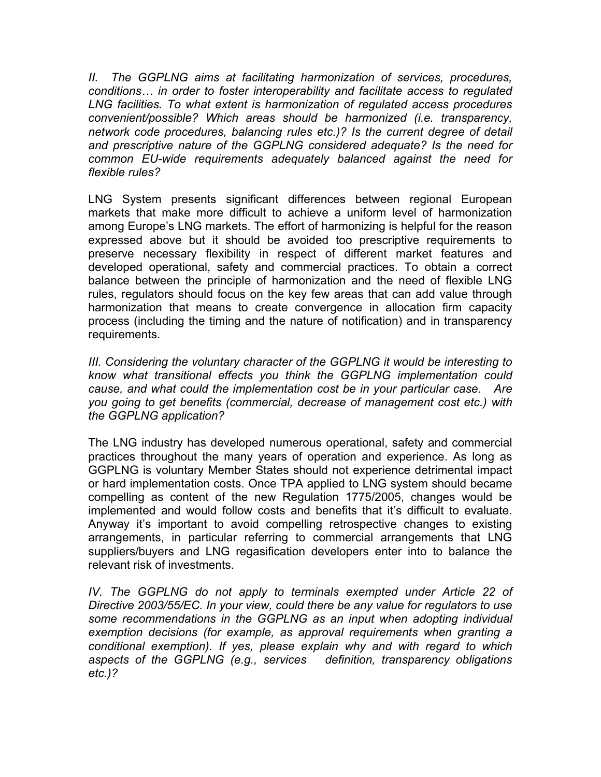*II. The GGPLNG aims at facilitating harmonization of services, procedures, conditions… in order to foster interoperability and facilitate access to regulated LNG facilities. To what extent is harmonization of regulated access procedures convenient/possible? Which areas should be harmonized (i.e. transparency, network code procedures, balancing rules etc.)? Is the current degree of detail and prescriptive nature of the GGPLNG considered adequate? Is the need for common EU-wide requirements adequately balanced against the need for flexible rules?* 

LNG System presents significant differences between regional European markets that make more difficult to achieve a uniform level of harmonization among Europe's LNG markets. The effort of harmonizing is helpful for the reason expressed above but it should be avoided too prescriptive requirements to preserve necessary flexibility in respect of different market features and developed operational, safety and commercial practices. To obtain a correct balance between the principle of harmonization and the need of flexible LNG rules, regulators should focus on the key few areas that can add value through harmonization that means to create convergence in allocation firm capacity process (including the timing and the nature of notification) and in transparency requirements.

*III. Considering the voluntary character of the GGPLNG it would be interesting to know what transitional effects you think the GGPLNG implementation could cause, and what could the implementation cost be in your particular case. Are you going to get benefits (commercial, decrease of management cost etc.) with the GGPLNG application?* 

The LNG industry has developed numerous operational, safety and commercial practices throughout the many years of operation and experience. As long as GGPLNG is voluntary Member States should not experience detrimental impact or hard implementation costs. Once TPA applied to LNG system should became compelling as content of the new Regulation 1775/2005, changes would be implemented and would follow costs and benefits that it's difficult to evaluate. Anyway it's important to avoid compelling retrospective changes to existing arrangements, in particular referring to commercial arrangements that LNG suppliers/buyers and LNG regasification developers enter into to balance the relevant risk of investments.

*IV. The GGPLNG do not apply to terminals exempted under Article 22 of Directive 2003/55/EC. In your view, could there be any value for regulators to use some recommendations in the GGPLNG as an input when adopting individual exemption decisions (for example, as approval requirements when granting a conditional exemption). If yes, please explain why and with regard to which aspects of the GGPLNG (e.g., services definition, transparency obligations etc.)?*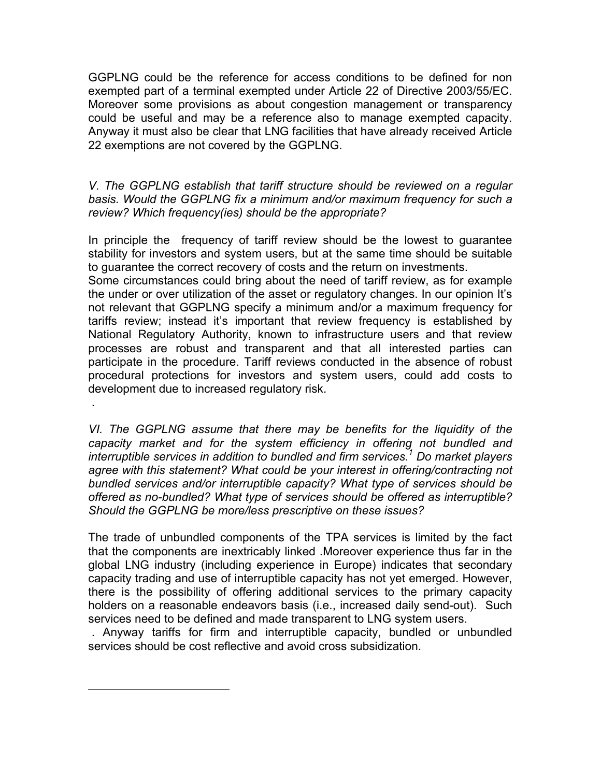GGPLNG could be the reference for access conditions to be defined for non exempted part of a terminal exempted under Article 22 of Directive 2003/55/EC. Moreover some provisions as about congestion management or transparency could be useful and may be a reference also to manage exempted capacity. Anyway it must also be clear that LNG facilities that have already received Article 22 exemptions are not covered by the GGPLNG.

*V. The GGPLNG establish that tariff structure should be reviewed on a regular basis. Would the GGPLNG fix a minimum and/or maximum frequency for such a review? Which frequency(ies) should be the appropriate?*

In principle the frequency of tariff review should be the lowest to guarantee stability for investors and system users, but at the same time should be suitable to guarantee the correct recovery of costs and the return on investments.

Some circumstances could bring about the need of tariff review, as for example the under or over utilization of the asset or regulatory changes. In our opinion It's not relevant that GGPLNG specify a minimum and/or a maximum frequency for tariffs review; instead it's important that review frequency is established by National Regulatory Authority, known to infrastructure users and that review processes are robust and transparent and that all interested parties can participate in the procedure. Tariff reviews conducted in the absence of robust procedural protections for investors and system users, could add costs to development due to increased regulatory risk.

*VI. The GGPLNG assume that there may be benefits for the liquidity of the capacity market and for the system efficiency in offering not bundled and interruptible services in addition to bundled and firm services.<sup>1</sup> Do market players agree with this statement? What could be your interest in offering/contracting not bundled services and/or interruptible capacity? What type of services should be offered as no-bundled? What type of services should be offered as interruptible? Should the GGPLNG be more/less prescriptive on these issues?* 

.

 $\overline{a}$ 

The trade of unbundled components of the TPA services is limited by the fact that the components are inextricably linked .Moreover experience thus far in the global LNG industry (including experience in Europe) indicates that secondary capacity trading and use of interruptible capacity has not yet emerged. However, there is the possibility of offering additional services to the primary capacity holders on a reasonable endeavors basis (i.e., increased daily send-out). Such services need to be defined and made transparent to LNG system users.

 . Anyway tariffs for firm and interruptible capacity, bundled or unbundled services should be cost reflective and avoid cross subsidization.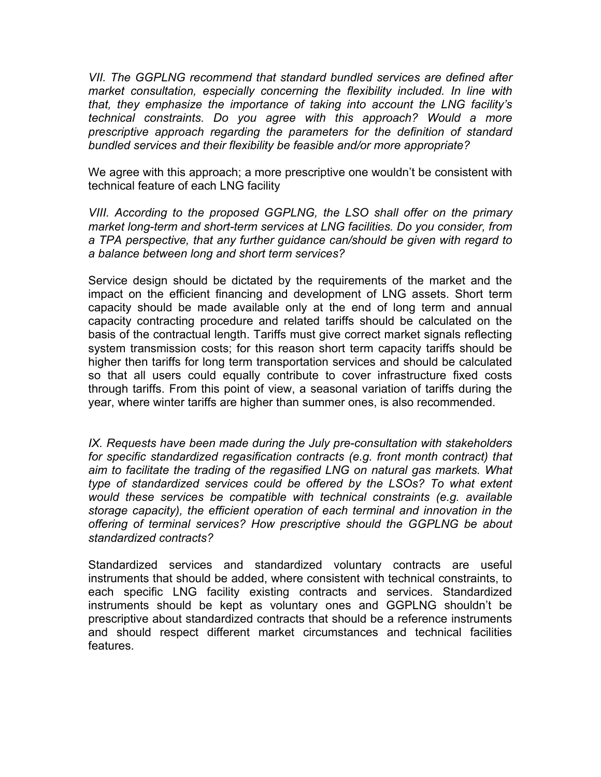*VII. The GGPLNG recommend that standard bundled services are defined after market consultation, especially concerning the flexibility included. In line with that, they emphasize the importance of taking into account the LNG facility's technical constraints. Do you agree with this approach? Would a more prescriptive approach regarding the parameters for the definition of standard bundled services and their flexibility be feasible and/or more appropriate?*

We agree with this approach; a more prescriptive one wouldn't be consistent with technical feature of each LNG facility

*VIII. According to the proposed GGPLNG, the LSO shall offer on the primary market long-term and short-term services at LNG facilities. Do you consider, from a TPA perspective, that any further guidance can/should be given with regard to a balance between long and short term services?*

Service design should be dictated by the requirements of the market and the impact on the efficient financing and development of LNG assets. Short term capacity should be made available only at the end of long term and annual capacity contracting procedure and related tariffs should be calculated on the basis of the contractual length. Tariffs must give correct market signals reflecting system transmission costs; for this reason short term capacity tariffs should be higher then tariffs for long term transportation services and should be calculated so that all users could equally contribute to cover infrastructure fixed costs through tariffs. From this point of view, a seasonal variation of tariffs during the year, where winter tariffs are higher than summer ones, is also recommended.

*IX. Requests have been made during the July pre-consultation with stakeholders for specific standardized regasification contracts (e.g. front month contract) that aim to facilitate the trading of the regasified LNG on natural gas markets. What type of standardized services could be offered by the LSOs? To what extent would these services be compatible with technical constraints (e.g. available storage capacity), the efficient operation of each terminal and innovation in the offering of terminal services? How prescriptive should the GGPLNG be about standardized contracts?* 

Standardized services and standardized voluntary contracts are useful instruments that should be added, where consistent with technical constraints, to each specific LNG facility existing contracts and services. Standardized instruments should be kept as voluntary ones and GGPLNG shouldn't be prescriptive about standardized contracts that should be a reference instruments and should respect different market circumstances and technical facilities features.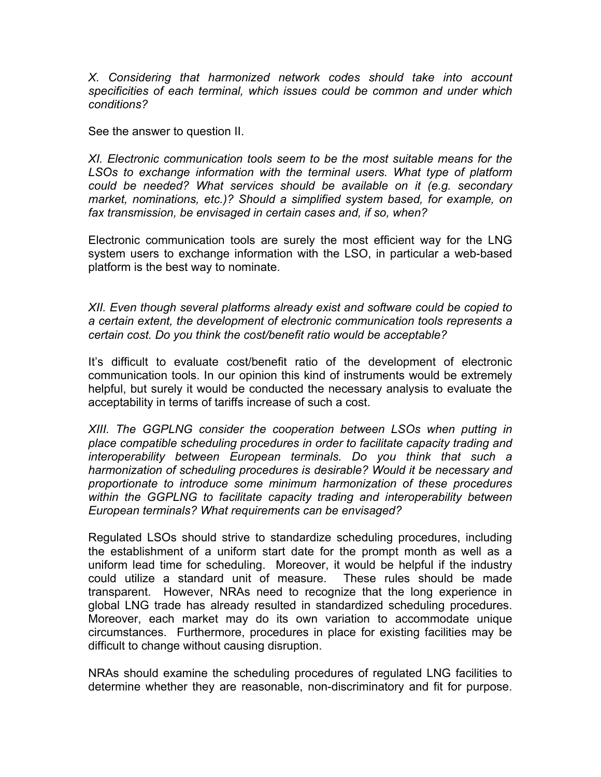*X. Considering that harmonized network codes should take into account specificities of each terminal, which issues could be common and under which conditions?*

See the answer to question II.

*XI. Electronic communication tools seem to be the most suitable means for the LSOs to exchange information with the terminal users. What type of platform could be needed? What services should be available on it (e.g. secondary market, nominations, etc.)? Should a simplified system based, for example, on fax transmission, be envisaged in certain cases and, if so, when?*

Electronic communication tools are surely the most efficient way for the LNG system users to exchange information with the LSO, in particular a web-based platform is the best way to nominate.

*XII. Even though several platforms already exist and software could be copied to a certain extent, the development of electronic communication tools represents a certain cost. Do you think the cost/benefit ratio would be acceptable?* 

It's difficult to evaluate cost/benefit ratio of the development of electronic communication tools. In our opinion this kind of instruments would be extremely helpful, but surely it would be conducted the necessary analysis to evaluate the acceptability in terms of tariffs increase of such a cost.

*XIII. The GGPLNG consider the cooperation between LSOs when putting in place compatible scheduling procedures in order to facilitate capacity trading and interoperability between European terminals. Do you think that such a harmonization of scheduling procedures is desirable? Would it be necessary and proportionate to introduce some minimum harmonization of these procedures*  within the GGPLNG to facilitate capacity trading and interoperability between *European terminals? What requirements can be envisaged?*

Regulated LSOs should strive to standardize scheduling procedures, including the establishment of a uniform start date for the prompt month as well as a uniform lead time for scheduling. Moreover, it would be helpful if the industry could utilize a standard unit of measure. These rules should be made transparent. However, NRAs need to recognize that the long experience in global LNG trade has already resulted in standardized scheduling procedures. Moreover, each market may do its own variation to accommodate unique circumstances. Furthermore, procedures in place for existing facilities may be difficult to change without causing disruption.

NRAs should examine the scheduling procedures of regulated LNG facilities to determine whether they are reasonable, non-discriminatory and fit for purpose.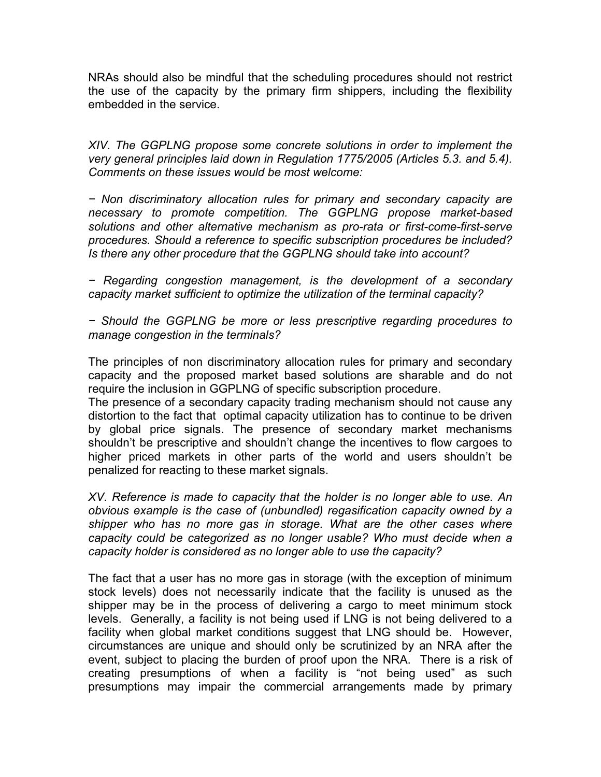NRAs should also be mindful that the scheduling procedures should not restrict the use of the capacity by the primary firm shippers, including the flexibility embedded in the service.

*XIV. The GGPLNG propose some concrete solutions in order to implement the very general principles laid down in Regulation 1775/2005 (Articles 5.3. and 5.4). Comments on these issues would be most welcome:* 

*− Non discriminatory allocation rules for primary and secondary capacity are necessary to promote competition. The GGPLNG propose market-based solutions and other alternative mechanism as pro-rata or first-come-first-serve procedures. Should a reference to specific subscription procedures be included? Is there any other procedure that the GGPLNG should take into account?* 

*− Regarding congestion management, is the development of a secondary capacity market sufficient to optimize the utilization of the terminal capacity?* 

*− Should the GGPLNG be more or less prescriptive regarding procedures to manage congestion in the terminals?* 

The principles of non discriminatory allocation rules for primary and secondary capacity and the proposed market based solutions are sharable and do not require the inclusion in GGPLNG of specific subscription procedure.

The presence of a secondary capacity trading mechanism should not cause any distortion to the fact that optimal capacity utilization has to continue to be driven by global price signals. The presence of secondary market mechanisms shouldn't be prescriptive and shouldn't change the incentives to flow cargoes to higher priced markets in other parts of the world and users shouldn't be penalized for reacting to these market signals.

*XV. Reference is made to capacity that the holder is no longer able to use. An obvious example is the case of (unbundled) regasification capacity owned by a shipper who has no more gas in storage. What are the other cases where capacity could be categorized as no longer usable? Who must decide when a capacity holder is considered as no longer able to use the capacity?* 

The fact that a user has no more gas in storage (with the exception of minimum stock levels) does not necessarily indicate that the facility is unused as the shipper may be in the process of delivering a cargo to meet minimum stock levels. Generally, a facility is not being used if LNG is not being delivered to a facility when global market conditions suggest that LNG should be. However, circumstances are unique and should only be scrutinized by an NRA after the event, subject to placing the burden of proof upon the NRA. There is a risk of creating presumptions of when a facility is "not being used" as such presumptions may impair the commercial arrangements made by primary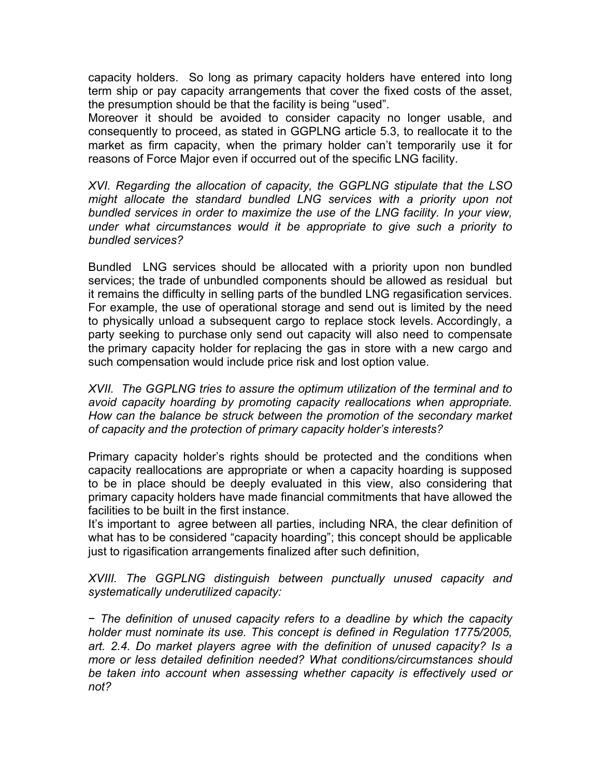capacity holders. So long as primary capacity holders have entered into long term ship or pay capacity arrangements that cover the fixed costs of the asset, the presumption should be that the facility is being "used".

Moreover it should be avoided to consider capacity no longer usable, and consequently to proceed, as stated in GGPLNG article 5.3, to reallocate it to the market as firm capacity, when the primary holder can't temporarily use it for reasons of Force Major even if occurred out of the specific LNG facility.

*XVI. Regarding the allocation of capacity, the GGPLNG stipulate that the LSO might allocate the standard bundled LNG services with a priority upon not bundled services in order to maximize the use of the LNG facility. In your view, under what circumstances would it be appropriate to give such a priority to bundled services?* 

Bundled LNG services should be allocated with a priority upon non bundled services; the trade of unbundled components should be allowed as residual but it remains the difficulty in selling parts of the bundled LNG regasification services. For example, the use of operational storage and send out is limited by the need to physically unload a subsequent cargo to replace stock levels. Accordingly, a party seeking to purchase only send out capacity will also need to compensate the primary capacity holder for replacing the gas in store with a new cargo and such compensation would include price risk and lost option value.

*XVII. The GGPLNG tries to assure the optimum utilization of the terminal and to avoid capacity hoarding by promoting capacity reallocations when appropriate. How can the balance be struck between the promotion of the secondary market of capacity and the protection of primary capacity holder's interests?* 

Primary capacity holder's rights should be protected and the conditions when capacity reallocations are appropriate or when a capacity hoarding is supposed to be in place should be deeply evaluated in this view, also considering that primary capacity holders have made financial commitments that have allowed the facilities to be built in the first instance.

It's important to agree between all parties, including NRA, the clear definition of what has to be considered "capacity hoarding"; this concept should be applicable just to rigasification arrangements finalized after such definition,

*XVIII. The GGPLNG distinguish between punctually unused capacity and systematically underutilized capacity:* 

− *The definition of unused capacity refers to a deadline by which the capacity holder must nominate its use. This concept is defined in Regulation 1775/2005, art. 2.4. Do market players agree with the definition of unused capacity? Is a more or less detailed definition needed? What conditions/circumstances should be taken into account when assessing whether capacity is effectively used or not?*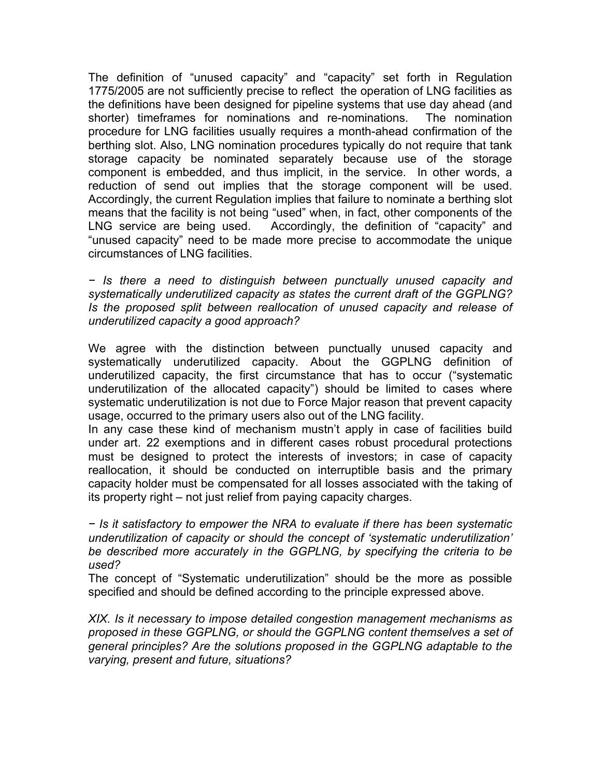The definition of "unused capacity" and "capacity" set forth in Regulation 1775/2005 are not sufficiently precise to reflect the operation of LNG facilities as the definitions have been designed for pipeline systems that use day ahead (and shorter) timeframes for nominations and re-nominations. The nomination procedure for LNG facilities usually requires a month-ahead confirmation of the berthing slot. Also, LNG nomination procedures typically do not require that tank storage capacity be nominated separately because use of the storage component is embedded, and thus implicit, in the service. In other words, a reduction of send out implies that the storage component will be used. Accordingly, the current Regulation implies that failure to nominate a berthing slot means that the facility is not being "used" when, in fact, other components of the LNG service are being used. Accordingly, the definition of "capacity" and "unused capacity" need to be made more precise to accommodate the unique circumstances of LNG facilities.

*− Is there a need to distinguish between punctually unused capacity and systematically underutilized capacity as states the current draft of the GGPLNG? Is the proposed split between reallocation of unused capacity and release of underutilized capacity a good approach?* 

We agree with the distinction between punctually unused capacity and systematically underutilized capacity. About the GGPLNG definition of underutilized capacity, the first circumstance that has to occur ("systematic underutilization of the allocated capacity") should be limited to cases where systematic underutilization is not due to Force Major reason that prevent capacity usage, occurred to the primary users also out of the LNG facility.

In any case these kind of mechanism mustn't apply in case of facilities build under art. 22 exemptions and in different cases robust procedural protections must be designed to protect the interests of investors; in case of capacity reallocation, it should be conducted on interruptible basis and the primary capacity holder must be compensated for all losses associated with the taking of its property right – not just relief from paying capacity charges.

*− Is it satisfactory to empower the NRA to evaluate if there has been systematic underutilization of capacity or should the concept of 'systematic underutilization' be described more accurately in the GGPLNG, by specifying the criteria to be used?*

The concept of "Systematic underutilization" should be the more as possible specified and should be defined according to the principle expressed above.

*XIX. Is it necessary to impose detailed congestion management mechanisms as proposed in these GGPLNG, or should the GGPLNG content themselves a set of general principles? Are the solutions proposed in the GGPLNG adaptable to the varying, present and future, situations?*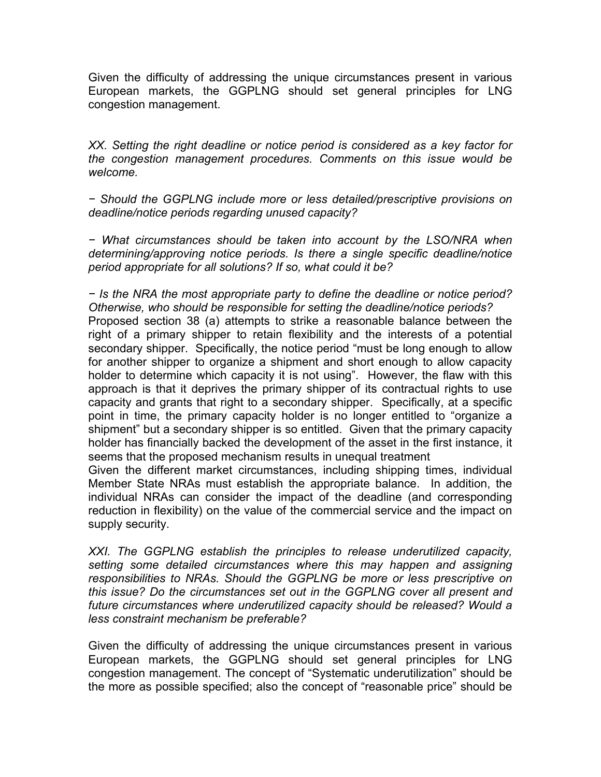Given the difficulty of addressing the unique circumstances present in various European markets, the GGPLNG should set general principles for LNG congestion management.

*XX. Setting the right deadline or notice period is considered as a key factor for the congestion management procedures. Comments on this issue would be welcome.* 

*− Should the GGPLNG include more or less detailed/prescriptive provisions on deadline/notice periods regarding unused capacity?* 

*− What circumstances should be taken into account by the LSO/NRA when determining/approving notice periods. Is there a single specific deadline/notice period appropriate for all solutions? If so, what could it be?* 

*− Is the NRA the most appropriate party to define the deadline or notice period? Otherwise, who should be responsible for setting the deadline/notice periods?* Proposed section 38 (a) attempts to strike a reasonable balance between the right of a primary shipper to retain flexibility and the interests of a potential secondary shipper. Specifically, the notice period "must be long enough to allow for another shipper to organize a shipment and short enough to allow capacity holder to determine which capacity it is not using". However, the flaw with this approach is that it deprives the primary shipper of its contractual rights to use capacity and grants that right to a secondary shipper. Specifically, at a specific point in time, the primary capacity holder is no longer entitled to "organize a shipment" but a secondary shipper is so entitled. Given that the primary capacity holder has financially backed the development of the asset in the first instance, it seems that the proposed mechanism results in unequal treatment

Given the different market circumstances, including shipping times, individual Member State NRAs must establish the appropriate balance. In addition, the individual NRAs can consider the impact of the deadline (and corresponding reduction in flexibility) on the value of the commercial service and the impact on supply security.

*XXI. The GGPLNG establish the principles to release underutilized capacity, setting some detailed circumstances where this may happen and assigning responsibilities to NRAs. Should the GGPLNG be more or less prescriptive on this issue? Do the circumstances set out in the GGPLNG cover all present and future circumstances where underutilized capacity should be released? Would a less constraint mechanism be preferable?* 

Given the difficulty of addressing the unique circumstances present in various European markets, the GGPLNG should set general principles for LNG congestion management. The concept of "Systematic underutilization" should be the more as possible specified; also the concept of "reasonable price" should be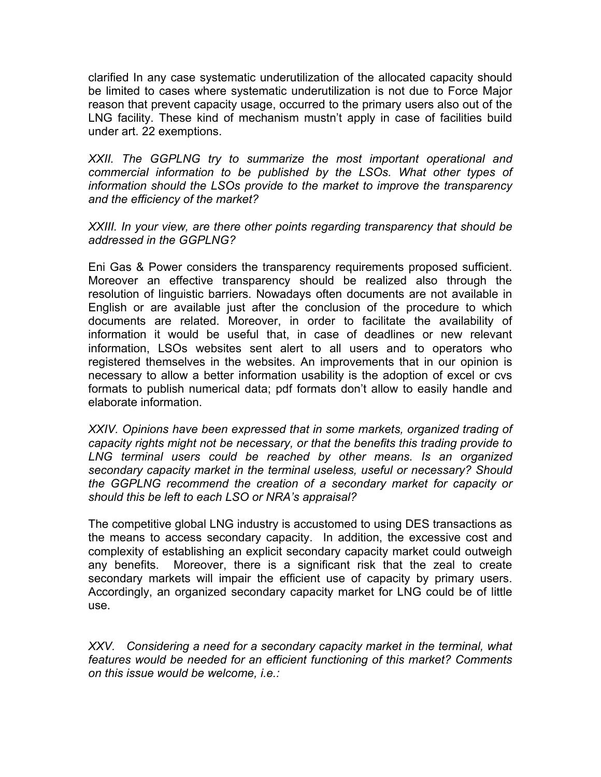clarified In any case systematic underutilization of the allocated capacity should be limited to cases where systematic underutilization is not due to Force Major reason that prevent capacity usage, occurred to the primary users also out of the LNG facility. These kind of mechanism mustn't apply in case of facilities build under art. 22 exemptions.

*XXII. The GGPLNG try to summarize the most important operational and commercial information to be published by the LSOs. What other types of information should the LSOs provide to the market to improve the transparency and the efficiency of the market?* 

*XXIII. In your view, are there other points regarding transparency that should be addressed in the GGPLNG?* 

Eni Gas & Power considers the transparency requirements proposed sufficient. Moreover an effective transparency should be realized also through the resolution of linguistic barriers. Nowadays often documents are not available in English or are available just after the conclusion of the procedure to which documents are related. Moreover, in order to facilitate the availability of information it would be useful that, in case of deadlines or new relevant information, LSOs websites sent alert to all users and to operators who registered themselves in the websites. An improvements that in our opinion is necessary to allow a better information usability is the adoption of excel or cvs formats to publish numerical data; pdf formats don't allow to easily handle and elaborate information.

*XXIV. Opinions have been expressed that in some markets, organized trading of capacity rights might not be necessary, or that the benefits this trading provide to LNG terminal users could be reached by other means. Is an organized secondary capacity market in the terminal useless, useful or necessary? Should the GGPLNG recommend the creation of a secondary market for capacity or should this be left to each LSO or NRA's appraisal?*

The competitive global LNG industry is accustomed to using DES transactions as the means to access secondary capacity. In addition, the excessive cost and complexity of establishing an explicit secondary capacity market could outweigh any benefits. Moreover, there is a significant risk that the zeal to create secondary markets will impair the efficient use of capacity by primary users. Accordingly, an organized secondary capacity market for LNG could be of little use.

*XXV. Considering a need for a secondary capacity market in the terminal, what features would be needed for an efficient functioning of this market? Comments on this issue would be welcome, i.e.:*